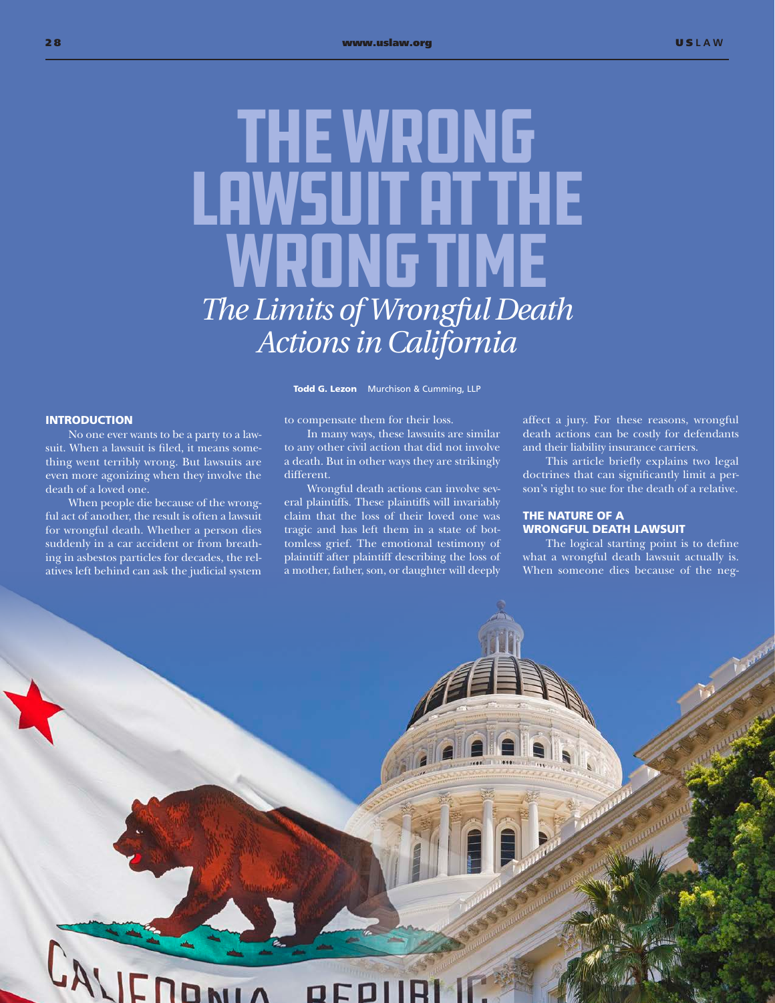# **THE WRONG** Lawsuit at the **WRONG TIME** *The Limits of Wrongful Death Actions in California*

Todd G. Lezon Murchison & Cumming, LLP

## **INTRODUCTION**

No one ever wants to be a party to a lawsuit. When a lawsuit is filed, it means something went terribly wrong. But lawsuits are even more agonizing when they involve the death of a loved one.

When people die because of the wrongful act of another, the result is often a lawsuit for wrongful death. Whether a person dies suddenly in a car accident or from breathing in asbestos particles for decades, the relatives left behind can ask the judicial system

#### to compensate them for their loss.

In many ways, these lawsuits are similar to any other civil action that did not involve a death. But in other ways they are strikingly different.

Wrongful death actions can involve several plaintiffs. These plaintiffs will invariably claim that the loss of their loved one was tragic and has left them in a state of bottomless grief. The emotional testimony of plaintiff after plaintiff describing the loss of a mother, father, son, or daughter will deeply affect a jury. For these reasons, wrongful death actions can be costly for defendants and their liability insurance carriers.

This article briefly explains two legal doctrines that can significantly limit a person's right to sue for the death of a relative.

## THE NATURE OF A WRONGFUL DEATH LAWSUIT

The logical starting point is to define what a wrongful death lawsuit actually is. When someone dies because of the neg-